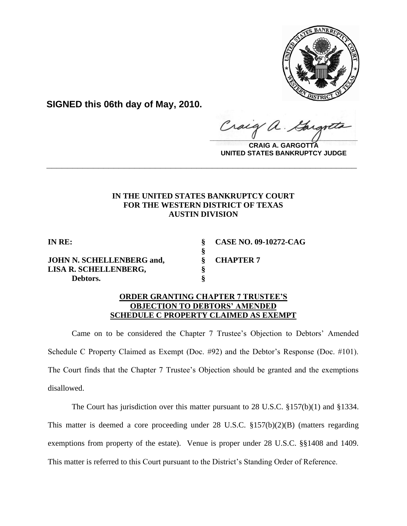

**SIGNED this 06th day of May, 2010.**

Craig  $\frac{1}{2}$ 

**CRAIG A. GARGOTTA UNITED STATES BANKRUPTCY JUDGE**

## **IN THE UNITED STATES BANKRUPTCY COURT FOR THE WESTERN DISTRICT OF TEXAS AUSTIN DIVISION**

**\_\_\_\_\_\_\_\_\_\_\_\_\_\_\_\_\_\_\_\_\_\_\_\_\_\_\_\_\_\_\_\_\_\_\_\_\_\_\_\_\_\_\_\_\_\_\_\_\_\_\_\_\_\_\_\_\_\_\_\_**

**§**

**JOHN N. SCHELLENBERG and, § CHAPTER 7 LISA R. SCHELLENBERG, § Debtors. §**

**IN RE: § CASE NO. 09-10272-CAG**

## **ORDER GRANTING CHAPTER 7 TRUSTEE'S OBJECTION TO DEBTORS' AMENDED SCHEDULE C PROPERTY CLAIMED AS EXEMPT**

Came on to be considered the Chapter 7 Trustee's Objection to Debtors' Amended Schedule C Property Claimed as Exempt (Doc. #92) and the Debtor's Response (Doc. #101). The Court finds that the Chapter 7 Trustee's Objection should be granted and the exemptions disallowed.

The Court has jurisdiction over this matter pursuant to 28 U.S.C. §157(b)(1) and §1334.

This matter is deemed a core proceeding under 28 U.S.C. §157(b)(2)(B) (matters regarding exemptions from property of the estate). Venue is proper under 28 U.S.C. §§1408 and 1409. This matter is referred to this Court pursuant to the District's Standing Order of Reference.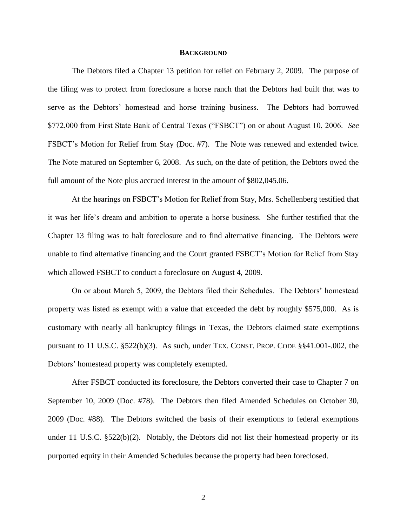## **BACKGROUND**

The Debtors filed a Chapter 13 petition for relief on February 2, 2009. The purpose of the filing was to protect from foreclosure a horse ranch that the Debtors had built that was to serve as the Debtors' homestead and horse training business. The Debtors had borrowed \$772,000 from First State Bank of Central Texas ("FSBCT") on or about August 10, 2006. *See*  FSBCT's Motion for Relief from Stay (Doc. #7). The Note was renewed and extended twice. The Note matured on September 6, 2008. As such, on the date of petition, the Debtors owed the full amount of the Note plus accrued interest in the amount of \$802,045.06.

At the hearings on FSBCT's Motion for Relief from Stay, Mrs. Schellenberg testified that it was her life's dream and ambition to operate a horse business. She further testified that the Chapter 13 filing was to halt foreclosure and to find alternative financing. The Debtors were unable to find alternative financing and the Court granted FSBCT's Motion for Relief from Stay which allowed FSBCT to conduct a foreclosure on August 4, 2009.

On or about March 5, 2009, the Debtors filed their Schedules. The Debtors' homestead property was listed as exempt with a value that exceeded the debt by roughly \$575,000. As is customary with nearly all bankruptcy filings in Texas, the Debtors claimed state exemptions pursuant to 11 U.S.C.  $\S 522(b)(3)$ . As such, under TEX. CONST. PROP. CODE  $\S 841.001$ -.002, the Debtors' homestead property was completely exempted.

After FSBCT conducted its foreclosure, the Debtors converted their case to Chapter 7 on September 10, 2009 (Doc. #78). The Debtors then filed Amended Schedules on October 30, 2009 (Doc. #88). The Debtors switched the basis of their exemptions to federal exemptions under 11 U.S.C.  $\S522(b)(2)$ . Notably, the Debtors did not list their homestead property or its purported equity in their Amended Schedules because the property had been foreclosed.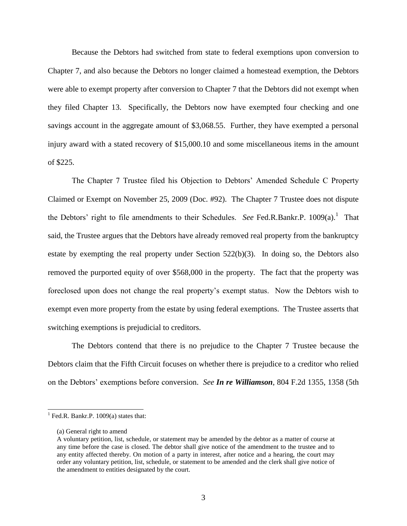Because the Debtors had switched from state to federal exemptions upon conversion to Chapter 7, and also because the Debtors no longer claimed a homestead exemption, the Debtors were able to exempt property after conversion to Chapter 7 that the Debtors did not exempt when they filed Chapter 13. Specifically, the Debtors now have exempted four checking and one savings account in the aggregate amount of \$3,068.55. Further, they have exempted a personal injury award with a stated recovery of \$15,000.10 and some miscellaneous items in the amount of \$225.

The Chapter 7 Trustee filed his Objection to Debtors' Amended Schedule C Property Claimed or Exempt on November 25, 2009 (Doc. #92). The Chapter 7 Trustee does not dispute the Debtors' right to file amendments to their Schedules. See Fed.R.Bankr.P. 1009(a).<sup>1</sup> That said, the Trustee argues that the Debtors have already removed real property from the bankruptcy estate by exempting the real property under Section 522(b)(3). In doing so, the Debtors also removed the purported equity of over \$568,000 in the property. The fact that the property was foreclosed upon does not change the real property's exempt status. Now the Debtors wish to exempt even more property from the estate by using federal exemptions. The Trustee asserts that switching exemptions is prejudicial to creditors.

The Debtors contend that there is no prejudice to the Chapter 7 Trustee because the Debtors claim that the Fifth Circuit focuses on whether there is prejudice to a creditor who relied on the Debtors' exemptions before conversion. *See In re Williamson*, 804 F.2d 1355, 1358 (5th

 $\overline{a}$ 

 $<sup>1</sup>$  Fed.R. Bankr.P. 1009(a) states that:</sup>

<sup>(</sup>a) General right to amend

A voluntary petition, list, schedule, or statement may be amended by the debtor as a matter of course at any time before the case is closed. The debtor shall give notice of the amendment to the trustee and to any entity affected thereby. On motion of a party in interest, after notice and a hearing, the court may order any voluntary petition, list, schedule, or statement to be amended and the clerk shall give notice of the amendment to entities designated by the court.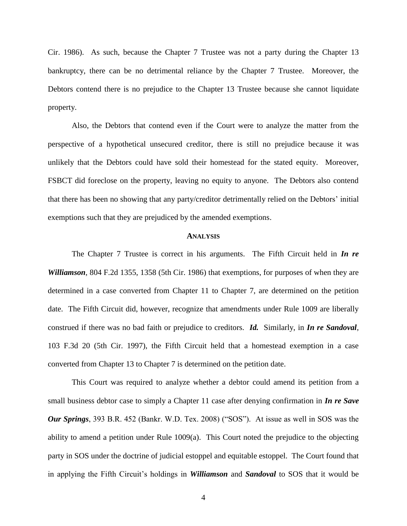Cir. 1986). As such, because the Chapter 7 Trustee was not a party during the Chapter 13 bankruptcy, there can be no detrimental reliance by the Chapter 7 Trustee. Moreover, the Debtors contend there is no prejudice to the Chapter 13 Trustee because she cannot liquidate property.

Also, the Debtors that contend even if the Court were to analyze the matter from the perspective of a hypothetical unsecured creditor, there is still no prejudice because it was unlikely that the Debtors could have sold their homestead for the stated equity. Moreover, FSBCT did foreclose on the property, leaving no equity to anyone. The Debtors also contend that there has been no showing that any party/creditor detrimentally relied on the Debtors' initial exemptions such that they are prejudiced by the amended exemptions.

## **ANALYSIS**

The Chapter 7 Trustee is correct in his arguments. The Fifth Circuit held in *In re Williamson*, 804 F.2d 1355, 1358 (5th Cir. 1986) that exemptions, for purposes of when they are determined in a case converted from Chapter 11 to Chapter 7, are determined on the petition date. The Fifth Circuit did, however, recognize that amendments under Rule 1009 are liberally construed if there was no bad faith or prejudice to creditors. *Id.* Similarly, in *In re Sandoval*, 103 F.3d 20 (5th Cir. 1997), the Fifth Circuit held that a homestead exemption in a case converted from Chapter 13 to Chapter 7 is determined on the petition date.

This Court was required to analyze whether a debtor could amend its petition from a small business debtor case to simply a Chapter 11 case after denying confirmation in *In re Save Our Springs*, 393 B.R. 452 (Bankr. W.D. Tex. 2008) ("SOS"). At issue as well in SOS was the ability to amend a petition under Rule 1009(a). This Court noted the prejudice to the objecting party in SOS under the doctrine of judicial estoppel and equitable estoppel. The Court found that in applying the Fifth Circuit's holdings in *Williamson* and *Sandoval* to SOS that it would be